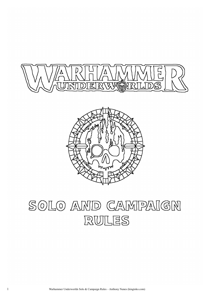



# SOLO AND CAMPAIGN RULES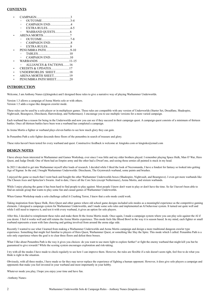# **CONTENTS**

- CAMPAIGN...........................................3 ◦ OUTCOME....................................3-4
	- CAMPAIGN END..........................4
	- EXTRA RULES.............................4-5
	- WARBAND QUESTS...................6
	- ARENA MORTIS..................................7
	- OUTCOME....................................7-8 ◦ CAMPAIGN END..........................8
	- EXTRA RULES.............................8
- PENUMBRA PATH...............................9-10 ◦ TABLES........................................10
- CAMPAIGN END.........................10 • WARBANDS …...................................11-15
- ALLIANCES & FACTIONS........16
- CREDITS & UPDATES.......................17
- UNDERWORLDS SHEET..................18
- ARENA MORTIS SHEET....................19
- PENUMBRA PATH SHEET.................20

# **INTRODUCTION**

Welcome, I am Anthony Nunes (@kingtoko) and I designed these rules to give a narrative way of playing Warhammer Underworlds.

Version 1.3 allows a campaign of Arena Mortis solo or with others. Version 1.5 adds a rogue-like dungeon crawler mode.

These rules can be used by a solo player or in multiplayer games. These rules are compatible with any version of Underworlds (Starter Set, Dreadfane, Shadespire, Nightvault, Beastgrave, Direchasm, Harrowdeep, and Nethermaze). I encourage you to use multiple versions for a more varied campaign.

Each warband has a reason for being in the Underworlds and now you can see if they succeed in their campaign quest. A campaign quest consists of a minimum of thirteen battles. Once all thirteen battles have been won a warband has completed a campaign.

In Arena Mortis a fighter or warband plays eleven battles to see how much glory they can gain.

In Penumbra Path a solo fighter descends three floors of the penumbra in search of treasure and glory.

These rules haven't been tested for every warband and quest. Constructive feedback is welcome at: kingtoko.com or kingtoko@email.com

# **DESIGN NOTES**

I have always been interested in Warhammer and Games Workshop, ever since I was little and my older brothers played. I remember playing Space Hulk, Man O' War, Hero Quest, and Judge Dredd. One of them had an Empire army and the other had a Dwarf one, and seeing those armies all painted is stuck in my head.

In 2021 I decided to get into Warhammer myself after loads of research. I decided while I liked the look of Necromunda, I have a fondest for fantasy so looked into getting Age of Sigmar. In the end, I bought Warhammer Underworlds: Direchasm, The Grymwatch warband, some paints and brushes.

I enjoyed the game so much that I went back and bought the other Warhammer Underworlds boxes (Shadespire, Nightvault, and Beastgrave). I even got more warbands like The Chosen Axes and Spiteclaw's Swarm. And to date, I have all the Core Sets (except Nethermaze), Arena Mortis, and sixteen warbands.

While I enjoy playing the game it has been hard to find people to play against. Most people I know don't want to play or don't have the time. So far I haven't been able to find an outside group that wants to play some fun and casual games of Warhammer Underworlds.

When Games Workshop made a solo challenge called A Crushing Terror, I knew that a solo mode could work.

Taking inspiration from Space Hulk, Hero Quest and other games where old school game designs included solo modes as a meaningful experience as the competitive gaming elements. I designed a campaign system for Warhammer Underworlds, and I made some solo rules and implemented an AI behaviour system. It turned out quite well and while I still need to improve it, and test it with every warband, it gives an option for solo players.

After this, I decided to reimplement these rules and make them fit the Arena Mortis mode. Once again, I made a campaign system where you can play solo against the AI if you desire. I feel it works well and still retains the Arena Mortis experience. This mode feels like Blood Bowl in the way it is season based. In my mind, each fighter or small warband represents a team with fans cheering and getting involved from around the arena edge side.

Recently I wanted to use what I learned from making a Warhammer Underworlds and Arena Mortis campaign and design a more traditional dungeon crawler type experience. Something that might feel familiar to players of Hero Quest, Warhammer Quest, or something like Slay the Spire. This mode which I called: Penumbra Path is a solo only experience where the goal is to clear three floors and defeat three bosses.

What I like about Penumbra Path is the way it gives you choices: do you want to use more light to explore further? or fight the enemy warband that might kill you but be guaranteed to give rewards? While the scoring system encourages exploration and risk-taking.

I try with all the modes I have made to check regularly to see how I can improve them. However, the rules are flexible if a rule doesn't seem right, feel free to do what you think is right in the situation.

Obviously, with all three modes, I have made so far they may never replace the experience of fighting a human opponent. However, it does give solo players a campaign and opponents that make you feel invested in your warband and most importantly in your hobby.

Whatever mode you play, I hope you enjoy your time and have fun.

-Anthony Nunes-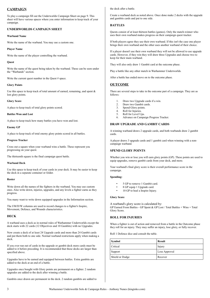# **CAMPAIGN**

To play a campaign fill out the Underworlds Campaign Sheet on page 9. This sheet will have various spaces where you enter information to keep track of your campaign.

# **UNDERWORLDS CAMPAIGN SHEET**

# **Warband Name**

Write the name of the warband. You may use a custom one.

# **Player Name**

Write the name of the player controlling the warband.

# **Quest**

Write the name of the quest being taken by the warband. These can be seen under the "Warbands" section.

Write the current quest number in the Quest # space.

# **Glory Points**

Use this space to keep track of total amount of earned, remaining, and spent & lost glory points.

# **Glory Score**

A place to keep track of total glory points scored.

# **Battles Won and Lost**

A place to keep track how many battles you have won and lost.

# **Enemy GP**

A place to keep track of total enemy glory points scored in all battles.

# **Progress Tracker**

Cross out a square when your warband wins a battle. These represent you progressing on your quest.

The thirteenth square is the final campaign quest battle.

# **Warband Deck**

Use this space to keep track of your cards in your deck. It may be easier to keep the deck in a separate container or folder.

# **Roster**

Write down all the names of the fighters in the warband. You may use custom ones. Also write down, injuries, upgrades, and any levels a fighter earns as they progress.

You many want to write down equipped upgrades in the Information section.

The I/M/D/W columns are used to record changes to a fighter's Inspire, Movement, Defence, and Wounds characteristics.

# **DECK**

A warband uses a deck as in normal rules of Warhammer Underworlds except the deck starts with 22 cards (12 Objectives and 10 Gambits) with no Upgrades.

Now create a deck of at least 24 Upgrade cards and more than 24 Gambit cards and put them both to one side. Normal warband restrictions apply when making a deck.

If you ever run out of cards in the upgrade or gambit deck more cards must be added to it before preceding. It is recommended that these decks are larger than specified above.

Upgrades have to be earned and equipped between battles. Extra gambits are added to the deck at an end of a battle.

Upgrades once bought with Glory points are permanent on a fighter. 2 random upgrades are added to the deck after winning a battle.

Gambits once drawn are permanent in the deck. 2 random gambits are added to

the deck after a battle.

Create a warband deck as noted above. Once done make 2 decks with the upgrade and gambits cards and put to one side.

# **BATTLES**

Quests consist of at least thirteen battles (games). Only the match-winner who uses their own warband makes progress on their campaign quest tracker.

If both players agree they use their own warband. If this isn't the case one player brings their own warband and the other uses another warband of their choice.

If a player doesn't use their own warband they will not be allowed to use upgrade cards. However, if they win they will draw three Upgrades and choose two to keep for their main warband.

They will also only draw 1 Gambit card at the outcome phase.

Play a battle like any other match in Warhammer Underworlds.

After a battle has ended move on to the outcome phase.

# **OUTCOME**

There are several steps to take in the outcome part of a campaign. They are as follows:

- Draw two Upgrade cards if a win.
- 2. Draw two Gambit cards.
- 3. Spend Glory points.
- 4. Roll for Injuries.
- 5. Roll for Level Ups. 6. Advance on Campaign Progress Tracker.

# **DRAW UPGRADE AND GAMBIT CARDS**

A winning warband draws 2 upgrade cards, and both warbands draw 2 gambit cards.

A player draws 3 upgrade cards and 1 gambit card when winning with a noncampaign warband.

# **SPEND GLORY POINTS**

Whether you win or lose you will earn glory points (GP). These points are used to equip upgrades, remove gambit cards from your deck, and more.

Your warband's final glory score is their overall performance score in the campaign.

# **Spending:**

- 5 GP to remove 1 Gambit card.
- 8 GP equip 1 Upgrade card.
- 10 GP to heal a Inspire Injury.

# **Glory Score**

A warband's glory score is calculated by: GP Earned From Battles - GP Spent & GP Lost / Total Battles + Wins = Total Glory Score.

# **ROLL FOR INJURIES**

When a fighter is out of action and removed from a battle in the Outcome phase they roll for an injury. They may suffer an injury, lose glory, or fully recover.

Roll 1 Defence dice and consult the table.

| Symbol          | <b>Result</b> |
|-----------------|---------------|
| Critical        | Injury        |
| Support         | Lose Approval |
| Shield or Dodge | Recover       |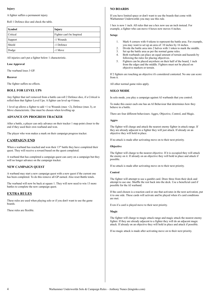#### **Injury**

A fighter suffers a permanent injury.

Roll 1 Defence dice and check the table.

| Symbol   | Injury                    |
|----------|---------------------------|
| Critical | Fighter can't be Inspired |
| Support  | -1 Wounds                 |
| Shield   | -1 Defence                |
| Dodge    | -1 Move                   |

All injuries can't put a fighter below 1 characteristic.

#### **Lose Approval**

The warband loses 3 GP.

**Recover**

The fighter suffers no effects.

# **ROLL FOR LEVEL UPS**

Any fighter that isn't removed from a battle can roll 2 Defence dice, if a Critical is rolled then that fighter Level Ups. A fighter can level up 4 times.

1 level up allows a fighter to add +1 to Wounds (max +2), Defence (max 3), or Move characteristic. One must be chosen when levelling up.

# **ADVANCE ON PROGRESS TRACKER**

After a battle, a player can only advance on their tracker 1 map point closer to the end if they used their own warband and won.

The player who won makes a mark on their campaign progress tracker.

# **CAMPAIGN END**

When a warband has reached and won their  $13<sup>th</sup>$  battle they have completed their quest. They will receive a reward based on the quest completed.

A warband that has completed a campaign quest can carry on a campaign but they will no longer advance on the campaign tracker.

# **NEW CAMPAIGN QUEST**

A warband may start a new campaign quest with a new quest if the current one has been completed. To do this remove all GP earned. Also reset Battle totals.

The warband will now be back at square 1. They will now need to win 13 more battles to complete the new campaign quest.

# **EXTRA RULES**

These rules are used when playing solo or if you don't want to use the game boards.

These rules are flexible.

# **NO BOARDS**

If you have limited space or don't want to use the boards that come with Warhammer Underworlds you may use this rule.

1 hex is now 1 inch. All rules that use a hex now use an inch instead. For example, a fighter who can move 4 hexes now moves 4 inches.

#### **Setup:**

- 1. Mark 4 corners with 4 tokens to represent the battle area. For example, you may want to set up an area of: 10 inches by 16 inches.
- 2. Divide the battle area into 2 halves with 1 token to mark the middle.
- Set up the battle area as per the normal game rules.
- 4. Both warbands can place an equal amount of terrain and hazards by following the rules for placing objectives.
- 5. Fighters can be placed anywhere on their half of the board, 1 inch from the edges and the middle. Fighters must not be placed on objective markers or terrain.

If 2 fighters are touching an objective it's considered contested. No one can score from it.

All other normal game rules apply.

# **SOLO MODE**

In solo mode, you play a campaign against AI warbands that you control.

To make this easier each one has an AI Behaviour that determines how they behave in a battle.

There are four different behaviours: Aggro, Objective, Control, and Magic.

#### **Aggro**

The fighter will charge and attack the nearest enemy fighter in attack range. If they are already adjacent to a fighter they will just attack. If already on an objective they will hold in place.

If no attack is made after activating move on to their next priority.

# **Objective**

The fighter will charge to the nearest objective. If it is occupied they will attack the enemy on it. If already on an objective they will hold in place and attack if possible.

If no attack is made after activating move on to their next priority.

#### **Control**

The fighter will attempt to use a gambit card. Draw three from their deck and attempt to use one. Shuffle the rest back into the deck. Use a beneficial card if possible for the AI warband.

If the card chosen is a reaction card or one that activates in the next activation, put it to one side. These cards will activate and be played when it's card conditions are met.

Even if a card is played move to their next priority.

#### **Magic**

The fighter will charge to magic attack range and magic attack the nearest enemy fighter. If they are already adjacent to a fighter they will do an adjacent magic attack. If already on an objective they will hold in place and attack if possible.

If no magic attack is made after activating move on to their next priority.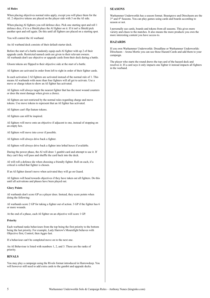#### **AI Rules**

When placing objectives normal rules apply, except you will place them for the AI. 2 objective tokens are placed on the player side with 3 on the AI side.

When placing AI fighters you roll defence dice. Pick one starting spot and roll 1 defence dice, if it is a Shield place the AI fighter on it. If it isn't a Shield pick another spot and roll again. Do this until all fighters are placed on a starting spot.

You will control the AI warband.

An AI warband deck consists of their default starter deck.

Before the start of a battle randomly equip each AI fighter with up 2 of their upgrade cards. Restricted named cards are given to their relevant owners. AI warbands don't use objective or upgrade cards from their deck during a battle.

Gloom tokens are flipped to their objective side at the start of a battle.

AI fighters are activated in order from left to right in order of their fighter cards.

In each activation 2 AI fighters are activated instead of the normal rule of 1. This means AI warbands with more than four fighters will all get to activate. Use a move or charge token to show an AI fighter has activated.

AI fighters will always target the nearest fighter that has the most wound counters or does the most damage when given a choice.

AI fighters are not restricted by the normal rules regarding charge and move tokens. Use move tokens to represent that an AI fighter has activated.

AI fighters can't flip feature tokens.

AI fighters can still be inspired.

AI fighters will move onto an objective if adjacent to one, instead of stopping on an empty hex.

AI fighters will move into cover if possible.

AI fighters will always drive back a fighter.

AI fighters will always drive back a fighter into lethal hexes if available.

During the power phase, the AI will draw 1 gambit card and attempt to use it. If they can't they will pass and shuffle the card back into the deck.

AI will roll a defence die when choosing a friendly fighter. Roll on each, if a critical is rolled that fighter is chosen.

If an AI fighter doesn't move when activated they will go on Guard.

AI fighters will head towards objectives if they have taken out all fighters. Do this until all activations and phases have been played out.

#### **Glory Points**

AI warbands don't score GP as a player does. Instead, they score points when doing the following:

AI warbands score 2 GP for taking a fighter out of action. 3 GP if the fighter has 6 or more wounds.

At the end of a phase, each AI fighter on an objective will score 1 GP.

# **Priority**

Each warband ranks behaviours from the top being the first priority to the bottom being the last priority. For example, Lady Harrow's Mournfight behaves with Objective first, Control, then Aggro last.

If a behaviour can't be completed move on to the next one.

An AI Behaviour is listed with numbers 1, 2, and 3. These are the ranks of priority.

# **RIVALS**

You may play a campaign using the Rivals format introduced in Harrowdeep. You will however still need to add extra cards to the gambit and upgrade decks.

# **SEASONS**

Warhammer Underworlds has a season format. Beastgrave and Direchasm are the 3<sup>rd</sup> and 4<sup>th</sup> Seasons. You can play games using cards and boards according to season or not.

I personally use cards, boards and tokens from all seasons. This gives more variety and chaos to the matches. It also means the more products you own the more interesting content you have access to.

# **HAZARDS**

If you own Warhammer Underworlds: Dreadfane or Warhammer Underworlds: Direchasm – Arena Mortis you can use those Hazard Cards and add them to your campaign.

The player who starts the round draws the top card of the hazard deck and resolves it. If a card says it only impacts one fighter it instead impacts all fighters in the warband.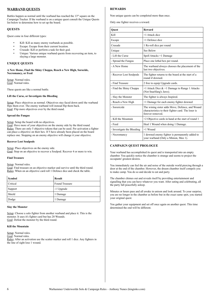# **WARBAND QUESTS**

Battles happen as normal until the warband has reached the  $13<sup>th</sup>$  square on the Campaign Tracker. If the warband is on a unique quest consult the Unique Quests list below to determine how to set up the board.

# **QUESTS**

Quest come in four different types:

- Kill: Kill as many enemy warbands as possible.
- Escape: Escape from their current location.
- Crusade: Kill or perform a task for their god.
- Unique: Various unique warband quests from recovering an item, to slaying a large monster.

# **UNIQUE QUESTS**

**A New Home, Find the Shiny Choppa, Reach a New High, Sorocide, Necromancy, or Feed**

Setup: Normal rules. Goal: Normal rules.

These quests are like a normal battle.

# **Lift the Curse, or Investigate the Bleeding**

Setup: Place objectives as normal. Objectives stay faced down until the warband flips them over. The enemy warband will instead flip them back. Goal: Flip more objectives over by the third round.

# **Spread the Fungus**

Setup: Setup the board with no objectives.

Goal: Have more of your objectives on the enemy side by the third round. Rules: There are only 5 objective tokens that can be used. Per activation a fighter can place a objective on their hex. If 5 have already been placed on the board replace one. Stopping on an enemy objective will change it your objective.

# **Recover Lost Soulpods**

Setup: Place objectives on the enemy side. Goal: Stop on an objective to recover a Soulpod. Recover 4 or more to win.

# **Find Treasure**

Setup: Normal rules.

Goal: Find treasure on an objective marker and survive until the third round. Rules: When on an objective card roll 1 Defence dice and check the table.

| Symbol   | <b>Result</b>         |
|----------|-----------------------|
| Critical | <b>Found Treasure</b> |
| Support  | -1 Upgrade            |
| Shield   | 1 Damage              |
| Dodge    | 1 Damage              |

# **Slay the Monster**

Setup: Choose a solo fighter from another warband and place it. This is the monster. It uses it's fighter card but has 20 Wounds. Goal: Defeat the monster by the third round.

# **Kill the Mountain**

Setup: Normal rules. Goal: Normal rules. Rules: After an activation use the scatter marker and roll 1 dice. Any fighters in the line of sight lose 1 wound.

# **REWARDS**

Non unique quests can be completed more than once.

Only one fighter receives a reward.

| <b>Ouest</b>               | <b>Reward</b>                                                                                                              |
|----------------------------|----------------------------------------------------------------------------------------------------------------------------|
| K <sub>11</sub>            | +1 Attack dice                                                                                                             |
| Escape                     | +1 Defence dice                                                                                                            |
| Crusade                    | 1 Re-roll dice per round                                                                                                   |
| Unique                     | See Below                                                                                                                  |
| - Lift the Curse           | Spell Attacks +1 Damage                                                                                                    |
| - Spread the Fungus        | Place one lethal hex per round.                                                                                            |
| - A New Home               | The warband always chooses the placement of the<br>last two objectives.                                                    |
| - Recover Lost Soulpods    | The fighter returns to the board at the start of a<br>round if downed.                                                     |
| - Find Treasure            | 2 free to equip Upgrade cards.                                                                                             |
| - Find the Shiny Choppa    | +1 Attack Dice $& 4$ 1 Damage to Range 1 Attacks<br>(Not Snarlfang's Jaws).                                                |
| - Slay the Monster         | The fighter is always Inspired.                                                                                            |
| - Reach a New High         | +1 Damage for each enemy fighter downed                                                                                    |
| - Sororicide               | The wining sister adds Move, Defence, and Wound<br>characteristics to their fighter card. The loser is<br>forever removed. |
| - Kill the Mountain        | +2 Objective cards in hand at the start of round 1                                                                         |
| - Feed                     | Heal 1 Wound when doing 1 Damage.                                                                                          |
| - Investigate the Bleeding | $+1$ Wound                                                                                                                 |
| - Necromancy               | 1 downed enemy fighter is permanently added to<br>your warband (Only a Minion, Max 1).                                     |

# **CAMPAIGN QUEST PROLOGUE**

Your warband has accomplished its quest and is transported into an empty chamber. You quickly notice the chamber is strange and seems to project the occupants' greatest desires.

You immediately can feel the air and noise of the outside world piercing through a door at the end of the chamber. However, the dream chamber itself compels you to make camp. You do so and decide to eat and party.

The chamber chimes out and reveals itself by providing entertainment and signalling that you can have whatever you want. After eating and celebrating, all the party fall peacefully asleep.

Minutes or hours pass and all awake in unison and look around. To your surprise, you are no longer in the chamber as before but in the exact same spot, you started your original quest.

You gather your equipment and set off once again on another quest. This time determined the end will be different.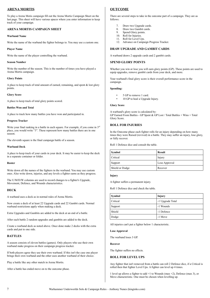# **ARENA MORTIS**

To play a Arena Motis campaign fill out the Arena Mortis Campaign Sheet on the last page. This sheet will have various spaces where you enter information to keep track of your campaign.

# **ARENA MORTIS CAMPAIGN SHEET**

# **Warband Name**

Write the name of the warband the fighter belongs to. You may use a custom one.

#### **Player Name**

Write the name of the player controlling the warband.

#### **Season Number**

Write the number of the season. This is the number of times you have played a Arena Mortis campaign.

#### **Glory Points**

A place to keep track of total amount of earned, remaining, and spent & lost glory points.

#### **Glory Score**

A place to keep track of total glory points scored.

#### **Battles Won and Total**

A place to track how many battles you have won and participated in.

#### **Progress Tracker**

Write your final ranking in a battle in each square. For example, if you come in 3<sup>rd</sup> place, you would write "3". These represent how many battles there are in one season.

The eleventh square is the final campaign battle of a season.

#### **Warband Deck**

A place to keep track of your cards in your deck. It may be easier to keep the deck in a separate container or folder.

#### **Roster**

Write down all the names of the fighters in the warband. You may use custom ones. Also write down, injuries, and any levels a fighter earns as they progress.

The U/M/D/W columns are used to record changes to a fighter's Upgrade, Movement, Defence, and Wounds characteristics.

# **DECK**

A warband uses a deck as in normal rules of Arena Mortis.

Now create a deck of at least 22 Upgrade cards and 22 Gambit cards. Normal warband restrictions apply when making a deck.

Extra Upgrades and Gambits are added to the deck at an end of a battle.

After each battle 2 random upgrades and gambits are added to the deck.

Create a warband deck as noted above. Once done make 2 decks with the extra cards and put to one side.

# **BATTLES**

A season consists of eleven battles (games). Only players who use their own warband make progress on their campaign progress tracker.

If both players agree they use their own warband. If this isn't the case one player brings their own warband and the other uses another warband of their choice.

Play a battle like any other match in Arena Mortis.

After a battle has ended move on to the outcome phase.

# **OUTCOME**

There are several steps to take in the outcome part of a campaign. They are as follows:

- 7. Draw two Upgrade cards.<br>8. Draw two Gambit cards.
- Draw two Gambit cards.
- 9. Spend Glory points. 10. Roll for Injuries.
- 11. Roll for Level Ups.
- 12. Advance on Campaign Progress Tracker.

# **DRAW UPGRADE AND GAMBIT CARDS**

A warband draws 2 upgrade cards and 2 gambit cards.

#### **SPEND GLORY POINTS**

Whether you win or lose you will earn glory points (GP). These points are used to equip upgrades, remove gambit cards from your deck, and more.

Your warband's final glory score is their overall performance score in the campaign.

#### **Spending:**

- 5 GP to remove 1 card.
- 10 GP to heal a Upgrade Injury.

#### **Glory Score**

A warband's glory score is calculated by: GP Earned From Battles - GP Spent & GP Lost / Total Battles + Wins = Total Glory Score.

# **ROLL FOR INJURIES**

In the Outcome phase each fighter rolls for an injury depending on how many times they were Raised (revived) in a battle. They may suffer an injury, lose glory, or fully recover.

Roll 1 Defence dice and consult the table.

| Symbol          | <b>Result</b> |
|-----------------|---------------|
| <b>Critical</b> | Injury        |
| Support         | Lose Approval |
| Shield or Dodge | Recover       |

# **Injury**

A fighter suffers a permanent injury.

Roll 1 Defence dice and check the table.

| Symbol   | Injury           |
|----------|------------------|
| Critical | -1 Upgrade Total |
| Support  | -1 Wounds        |
| Shield   | -1 Defence       |
| Dodge    | -1 Move          |

All injuries can't put a fighter below 1 characteristic.

#### **Lose Approval**

The warband loses 3 GP.

#### **Recover**

The fighter suffers no effects.

# **ROLL FOR LEVEL UPS**

Any fighter that isn't removed from a battle can roll 2 Defence dice, if a Critical is rolled then that fighter Level Ups. A fighter can level up 4 times.

1 level up allows a fighter to add +1 to Wounds (max +2), Defence (max 3), or Move characteristic. One must be chosen when levelling up.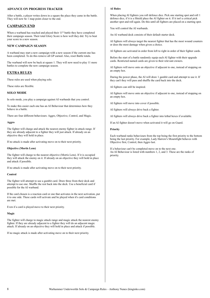# **ADVANCE ON PROGRESS TRACKER**

After a battle, a player writes down in a square the place they came in the battle. They will now be 1 map point closer to the end.

# **CAMPAIGN END**

When a warband has reached and played their 11<sup>th</sup> battle they have completed their campaign season. Their total Glory Score is how well they did. Try to beat your score in a new season.

# **NEW CAMPAIGN SEASON**

A warband may start a new campaign with a new season if the current one has been completed. To do this remove all GP earned. Also, reset Battle totals.

The warband will now be back at square 1. They will now need to play 11 more battles to complete the new campaign season.

# **EXTRA RULES**

These rules are used when playing solo.

These rules are flexible.

# **SOLO MODE**

In solo mode, you play a campaign against AI warbands that you control.

To make this easier each one has an AI Behaviour that determines how they behave in a battle.

There are four different behaviours: Aggro, Objective, Control, and Magic.

# **Aggro**

The fighter will charge and attack the nearest enemy fighter in attack range. If they are already adjacent to a fighter they will just attack. If already on an objective they will hold in place.

If no attack is made after activating move on to their next priority.

# **Objective (Mortis Lens)**

The fighter will charge to the nearest objective (Mortis Lens). If it is occupied they will attack the enemy on it. If already on an objective they will hold in place and attack if possible.

If no attack is made after activating move on to their next priority.

# **Control**

The fighter will attempt to use a gambit card. Draw three from their deck and attempt to use one. Shuffle the rest back into the deck. Use a beneficial card if possible for the AI warband.

If the card chosen is a reaction card or one that activates in the next activation, put it to one side. These cards will activate and be played when it's card conditions are met.

Even if a card is played move to their next priority.

# **Magic**

The fighter will charge to magic attack range and magic attack the nearest enemy fighter. If they are already adjacent to a fighter they will do an adjacent magic attack. If already on an objective they will hold in place and attack if possible.

If no magic attack is made after activating move on to their next priority.

# **AI Rules**

When placing AI fighters you roll defence dice. Pick one starting spot and roll 1 defence dice, if it is a Shield place the AI fighter on it. If it isn't a critical pick another spot and roll again. Do this until all fighters are placed on a starting spot.

You will control the AI warbands.

An AI warband deck consists of their default starter deck.

AI fighters will always target the nearest fighter that has the most wound counters or does the most damage when given a choice.

AI fighters are activated in order from left to right in order of their fighter cards.

Before the start of a battle randomly equip each AI fighter with their upgrade cards. Restricted named cards are given to their relevant owners.

AI fighters will move onto an objective if adjacent to one, instead of stopping on an empty hex.

During the power phase, the AI will draw 1 gambit card and attempt to use it. If they can't they will pass and shuffle the card back into the deck.

AI fighters can still be inspired.

AI fighters will move onto an objective if adjacent to one, instead of stopping on an empty hex.

AI fighters will move into cover if possible.

AI fighters will always drive back a fighter.

AI fighters will always drive back a fighter into lethal hexes if available.

If an AI fighter doesn't move when activated it will go on Guard.

# **Priority**

Each warband ranks behaviours from the top being the first priority to the bottom being the last priority. For example, Lady Harrow's Mournfight behaves with Objective first, Control, then Aggro last.

If a behaviour can't be completed move on to the next one. An AI Behaviour is listed with numbers 1, 2, and 3. These are the ranks of priority.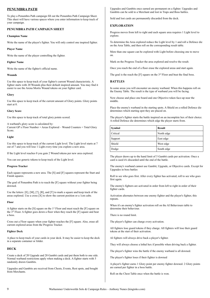# **PENUMBRA PATH**

To play a Penumbra Path campaign fill out the Penumbra Path Campaign Sheet. This sheet will have various spaces where you enter information to keep track of your campaign.

# **PENUMBRA PATH CAMPAIGN SHEET**

# **Champion Name**

Write the name of the player's fighter. You will only control one inspired fighter.

# **Player Name**

Write the name of the player controlling the fighter.

# **Fighter Name**

Write the name of the fighter's official name.

# **Wounds**

Use this space to keep track of your fighter's current Wound characteristic. A fighter starts with 20 Wounds plus their default inspired amount. You may find it easier to use the Arena Mortis Wound tokens on your fighter card.

# **Glory**

Use this space to keep track of the current amount of Glory points. Glory points start at 0.

# **Glory Score**

Use this space to keep track of total glory points scored.

A warband's glory score is calculated by: Current GP x Floor Number + Areas Explored – Wound Counters = Total Glory Score.

# **Light**

Use this space to keep track of the current Light level. The Light level starts at 7 out of 7 and you will lose 1 Light every time you explore a new area.

If the Light level reaches 0 you gain 2 Wound tokens per new area explored.

You can use generic tokens to keep track of the Light level.

# **Progress Tracker**

Each square represents a new area. The [S] and [F] squares represent the Start and Finish squares.

The goal of Penumbra Path is to reach the [F] square without your fighter being downed.

Use the letters: [E], [M], [?], [R], and [T] to mark a square and keep track of the areas explored. Use a cross [X] to show the current position or a 1cm cube.

# **Floor**

A fighter starts on the [S] square on the 1st Floor and must reach the [F] square on the 3rd Floor. A fighter goes down a floor when they reach the [F] square and beat a boss.

Cross out a Floor square when your fighter reaches the [F] square. Also, erase all current explored areas from the Progress Tracker.

# **Fighter Deck**

A place to keep track of your cards in your deck. It may be easier to keep the deck in a separate container or folder.

# **DECK**

Create a deck of 20 Upgrade and 20 Gambit cards and put them both to one side. Normal warband restrictions apply when making a deck. A fighter starts with 5 randomly drawn Gambits.

Upgrades and Gambits are received from Chests, Events, Rest spots, and bought from Merchants.

Upgrades and Gambits once earned are permanent on a fighter. Upgrades and Gambits can be sold to a Merchant and lost in Traps and Boss battles.

Sold and lost cards are permanently discarded from the deck.

# **EXPLORATION**

Progress moves from left to right and each square area requires 1 Light level to explore.

To determine the Area explored reduce the Light level by 1 and roll a Defence die on the Area Table, and then roll on the corresponding result table.

More than one square can be explored with Light before choosing one to move on.

Mark on the Progress Tracker the area explored and resolve the result.

Once you reach the end of a floor erase the explored areas and start again.

The goal is the reach the  $[F]$  square on the  $3<sup>rd</sup>$  Floor and beat the final boss.

# **BATTLES**

In some areas you will encounter an enemy warband. When this happens roll on the Enemy Table. The result is the type of warband you will be facing.

Now choose and place one board and one Objective token face-up near the middle.

Place the enemy's warband in the starting spots. A Shield on a rolled Defence die determines which starting spot they are placed on.

The player's fighter starts the battle inspired on an incomplete hex of their choice. A rolled Defence die determines which edge the player starts from.

| Symbol   | <b>Result</b> |
|----------|---------------|
| Critical | North edge    |
| Support  | East edge     |
| Shield   | West edge     |
| Dodge    | South edge    |

The player draws up to the hand limit of 5 Gambit cards per activation. Once a card is used it's discarded until the end of the battle.

The enemy's warband cannot use Gambit, Upgrade, or Objective cards. Except for Upgrades in boss battles

Roll to see who goes first. After every fighter has activated, roll to see who goes first again.

The enemy's fighters are activated in order from left to right in order of their fighter cards.

Activation alternates between one enemy fighter and the player's fighter, this repeats.

When it's an enemy's fighter activation roll on the AI Behaviours table to determine their behaviour.

There is no round limit.

The player's fighter can charge every activation.

All fighters lose guard tokens if they charge. All fighters will lose their guard tokens at the start of their activation.

AI fighters will always drive back a player's fighter.

They will always choose a lethal hex if possible when driving back a fighter.

The player's fighter wins the battle if the enemy warband is all downed.

The player's fighter loses if their fighter is downed

A player's fighter earns 1 Glory point per enemy fighter downed. 2 Glory points are earned per fighter in a boss battle.

Roll on the Chest Table once when the battle is won.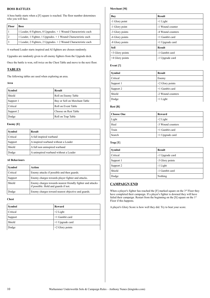# **BOSS BATTLES**

A boss battle starts when a [F] square is reached. The floor number determines who you will face.

| <b>Floor</b> | <b>Boss</b>                                                      |
|--------------|------------------------------------------------------------------|
|              | 1 Leader, 0 Fighters, 0 Upgrades. $+1$ Wound Characteristic each |
|              | 1 Leader, 1 Fighter, 1 Upgrades. + 1 Wound Characteristic each   |
|              | 1 Leader, 2 Fighters, 2 Upgrades. + 2 Wound Characteristic each  |

A warband Leader starts inspired and AI fighters are chosen randomly.

Upgrades are randomly given to all enemy fighters from the Upgrade deck.

Once the battle is won, roll twice on the Chest Table and move to the next floor.

# **TABLES**

The following tables are used when exploring an area.

# **Area**

| Symbol    | <b>Result</b>                 |
|-----------|-------------------------------|
| Shield    | Roll on Enemy Table           |
| Support 1 | Buy or Sell on Merchant Table |
| Critical  | Roll on Event Table           |
| Support 2 | Choose on Rest Table          |
| Dodge     | Roll on Trap Table            |

# **Enemy [E]**

| Symbol   | <b>Result</b>                         |
|----------|---------------------------------------|
| Critical | A full inspired warband               |
| Support  | A inspired warband without a Leader   |
| Shield   | A full non uninspired warband         |
| Dodge    | A uninspired warband without a Leader |

# **AI Behaviours**

| Symbol   | Action                                                                                             |
|----------|----------------------------------------------------------------------------------------------------|
| Critical | Enemy attacks if possible and then guards.                                                         |
| Support  | Enemy charges towards player fighter and attacks.                                                  |
| Shield   | Enemy charges towards nearest friendly fighter and attacks<br>if possible. Hold and guards if not. |
| Dodge    | Enemy charges toward nearest objective and guards.                                                 |

**Chest**

| Symbol   | Reward            |
|----------|-------------------|
| Critical | $+2$ Light        |
| Support  | $+1$ Gambit card  |
| Shield   | $+1$ Upgrade card |
| Dodge    | $+2$ Glory points |

# **Merchant [M]**

| <b>Buy</b>        | <b>Result</b>     |
|-------------------|-------------------|
| -1 Glory point    | $+1$ Light        |
| -1 Glory point    | -1 Wound counter  |
| -3 Glory points   | -4 Wound counters |
| -6 Glory points   | +1 Gambit card    |
| -8 Glory points   | +1 Upgrade card   |
| <b>Sell</b>       | <b>Result</b>     |
| $+3$ Glory points | -1 Gambit card    |
| +4 Glory points   | -1 Upgrade card   |
|                   |                   |

# **Event [?]**

| <b>Symbol</b> | <b>Result</b>     |
|---------------|-------------------|
| Critical      | Enemy             |
| Support 1     | $+2$ Glory points |
| Support 2     | +1 Gambit card    |
| Shield        | -2 Wound counters |
| Dodge         | $+1$ Light        |

# **Rest [R]**

| Choose One | Reward            |
|------------|-------------------|
| Light      | $+2$ Light        |
| Heal       | -3 Wound counters |
| Train      | +1 Gambit card    |
| Search     | $+1$ Upgrade card |

# **Trap [T]**

| <b>Symbol</b> | <b>Result</b>   |
|---------------|-----------------|
| Critical      | -1 Upgrade card |
| Support 1     | -3 Glory points |
| Support 2     | -1 Light        |
| Shield        | -1 Gambit card  |
| Dodge         | Nothing         |

# **CAMPAIGN END**

When a player's fighter has reached the [F] marked square on the  $3^{rd}$  Floor they have completed their campaign. If a player's fighter is downed they will have failed their campaign. Restart from the beginning on the [S] square on the 1<sup>st</sup> Floor if this happens.

A player's Glory Score is how well they did. Try to beat your score.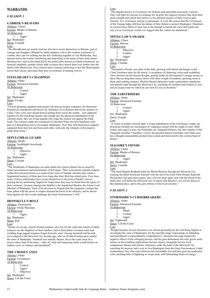# **WARBANDS**

# *# SEASON 1*

# **GARREK'S REAVERS**

Alliance: Chaos Faction: Blades of Khorne AI Behaviour: 1. Aggro Set: Shadespire Quest: Crusade Lore:

"The Bloodbound are mortal warriors who have sworn themselves to Khorne, god of carnage and slaughter. Blinded by battle madness, lost to the exultant sensations of combat, they care for nothing but the kill. Gathering together in vast Warhordes, they maraud across the realms, butchering and despoiling in the name of their dark master. Bloodreavers, such as the band led by the brutal killer known as Garrek Gorebeard, are frenzied cannibals, mortals whose dark excesses have drawn them ever further into the thrall of the Blood God. They eschew heavy armour, preferring to feel the blood spatter across their chests, and chase their prey as tirelessly as hunting wolves."

# **STEELHEART'S CHAMPION**

Alliance: Order Faction: Stormcast Eternals AI Behaviour: 1. Control 2. Aggro Set: Shadespire Quest: Escape

#### Lore:

"Clad in gleaming sigmarite and armed with heaven-forged weaponry, the Stormcast Eternals are champions and heroes all, defenders of civilisation and sworn enemies of Chaos. They were once mortal heroes hailing from across the realms – now gathered together by the God-King Sigmar and remade into the physical embodiment of the celestial storm, they are living legends who wage the eternal war against the Dark Gods. The warriors under the command of Liberator-Prime Severin Steelheart were part of a detachment sent to investigate Shadespire. Now they find themselves trapped, separated from their kin and from each other, with only the whispers of the dead to guide them home.

# **SEPULCHRAL GUARD**

Alliance: Death Faction: Soulblight Gravelords AI Behaviour: 1. Objective  $\frac{2}{2}$  Aggro  $A \sigma$ <sub>o</sub>ro Set: Shadespire Quest: Crusade Lore:

"The Deathrattle of Shadespire are quite unlike the typical charnel slaves raised by minor necromancers and practitioners of fell magic. Their soul animus remains trapped within their decayed forms as a result of the curse of Nagash, and thus they retain a fragmented memory of their past lives long after their flesh has rotted away. Over time, many of these unfortunates have sworn themselves to the God of Death's service, praying that by petitioning Nagash for forgiveness they may be freed from the agony of their existence. Greatest amongst the faithful is the Sepulchral Warden, the former Lord Marshal of Shadespire. Such is his devotion to Nagash that this enigmatic creature has been gifted with the power to inspire frenzied devotion in his subjects, and he directs them against all who would challenge the Great Necromancer's will."

# **IRONSKULL'S BOYZ**

Alliance: Destruction Faction: Orruk Warclans AI Behaviour: 1. Aggro Set: Shadespire Quest: Kill

Lore:

"Orruks are savage, muscle-bound creatures who live for the crash and crunch of battle. Ironjawz are the mightiest of their number, clad in thick plates of rusted metal and wielding huge jagged weapons forged from the same. Gurzag Ironskull and his lads were trapped in the Mirrored City decades ago, after an ill-fated looting spree amidst the ruins of Shadespire. Ironskull was initially furious, but in the years since he's grown rather fond of the place – after all, what self-respecting orruk would decline an endless cycle of violence and bloodshed?"

# **THE CHOSEN AXES**

Alliance: Order Faction: Fyreslayers  $\underline{AI}$  Behaviour:<br>1. Co **Control** 

2. Aggro 3. Objective Set: Shadespire Quest: Lift the Curse

#### Lore:

"The duardin known as Fyreslayers are fearless and intractable mercenary warriors. They will fight for anyone in exchange for ur-gold, the magical resource that fuels their great strength and which they believe is the spiritual essence of their warrior-god, Grimnir. To a Fyreslayer, honour is paramount. It is for this reason that the Fyreslayers of the Vostarg lodge still bear the shame of their failure to protect Shadespire. Hundreds of warriors have fallen or been lost in the attempt to banish the curse that haunts the city, yet no Fyreslayer would ever suggest that the venture be abandoned."

# **SPITECLAW'S SWARM**

Alliance: Chaos Faction: Skaven AI Behaviour: 1. Objective 2. Control<br>3. Aggro

Aggro

Set: Shadespire

Quest: Crusade

#### Lore:

"Thousands of beady eyes glint in the dark, glowing with hatred and hunger as the Clans Verminus mass for the attack. A cacophony of chittering voices and scrabbling claws drowns out all rational thought, getting louder by the moment. Carnage ensues as these Skaven drag their enemy down with sheer weight of numbers, gnawing away at them until nothing remains. Warlord Skritch Spiteclaw leads a particularly murderous and spiteful band through the Mirrored City, searching for artefacts and trinkets to loot, and an escape route by which he can claw his way to freedom."

# **THE FARSTRIDERS**

Alliance: Order Faction: Stormcast Eternals AI Behaviour: 1. Control 2. Aggro Set: Shadespire Quest: Escape Lore:

"A vision of golden celestial light, a living embodiment of the God-King's might, the Stormcast Eternals are messengers of vengeance armed with the might of stars. Bold raiders and expert scouts, the Farstriders are Vanguard-Hunters, the elite infantry of the Vanguard Auxillary Chambers. Led by the grizzled Sanson Farstrider, more than once has a thought-unassailable position been scaled and destroyed by this veteran band of heroes."

# **MAGORE'S FIENDS**

Alliance: Chaos Faction: Blades of Khorne AI Behaviour: 1. Aggro Set: Shadespire Quest: Crusade Lore:

"The fiend Magore Redhand leads his Blood Warriors through the Mirrored City, tracking the hated Stormcast Eternals with the aid of his loyal Flesh Hound, Riptooth. Should they fall upon their quarry, they will tear them apart, and with the blood of the fallen they will defile the Mirrored City so utterly that Khorne's eye will be drawn to this damned place, and to the gory tributes of his loyal servants."

# *# SEASON 2*

# **STORMSIRE'S CURSEBREAKERS**

Alliance: Order Faction: Stormcast Eternals AI Behaviour:

- 1. Magic
- 2. Control
- 3. Aggro
- Set: Nightvault Quest: Lift the Curse

Lore:

"Knight-Incantor Averon Stormsire was chosen personally by the God-King Sigmar to investigate the curse of Shadespire, for the irascible mage's knowledge of unbinding and banishment is extraordinarily comprehensive. Stormsire has long studied the negative effects of the reforging process, and his grim demeanour has only grown more intense as the troubling implications become clearer. Alongside his two loyal companions, Rastus and Ammis, Stormsire walks the halls of the Mirrored City, searching for answers and a way to free Shadespire from the Great Necromancer's dark enchantment. Any who come between this formidable trio and their goal are eradicated with crackling bolts of lightning or swept aside with fulminating blasts of energy."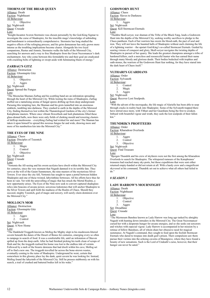# **THORNS OF THE BRIAR QUEEN**

Alliance: Death Faction: Nighthaunt AI Behaviour: 1. Objective Set: Nightvault Quest: Crusade Lore:

"Knight-Incantor Averon Stormsire was chosen personally by the God-King Sigmar to investigate the curse of Shadespire, for the irascible mage's knowledge of unbinding and banishment is extraordinarily comprehensive. Stormsire has long studied the negative effects of the reforging process, and his grim demeanour has only grown more intense as the troubling implications become clearer. Alongside his two loyal companions, Rastus and Ammis, Stormsire walks the halls of the Mirrored City, searching for answers and a way to free Shadespire from the Great Necromancer's dark enchantment. Any who come between this formidable trio and their goal are eradicated with crackling bolts of lightning or swept aside with fulminating blasts of energy.'

# **ZARBAG'S GITZ**

Alliance: Destruction Faction: Gloomspite Gitz AI Behaviour:

1. Objective  $2 \nvert A \circ \sigma \circ \sigma$ Aggro

Set: Nightvault

Quest: Spread the Fungus

#### Lore:

"The Moonclan Shaman Zarbag and his scuttling band are an infestation spreading through the heart of the Mirrored City. While looting the ruins of Shadespire, Zarbag sniffed out a tantalising aroma of fungal spores drifting up from deep underground. Pursuing this tempting lure, the Shaman and his grots tunnelled into an enormous sinkhole, tumbling into darkness. They crashed to earth in the depths of the Mirrored City, finding themselves lost within the Thanatological Gardens of the city's former Katophrane masters. Where once vibrant flowerbeds and lush plantations filled these glass-domed halls, now there were only fields of choking mould and towering clusters of deffcap mushrooms – everything Zarbag had wished for and more! The Shaman has taken it upon himself to spread this noxious fungus far and wide, drawing more and more of his numberless kin into the Mirrored City.'

# **THE EYES OF THE NINE**

Alliance: Chaos Faction: Disciples of Tzeentch AI Behaviour:<br>1. Ma

Magic

2. Control

3. Objective

Set: Nightvault

Quest: Crusade

Lore:

"Vortemis the All-seeing and his sworn acolytes have dwelt within the Mirrored City for centuries, since the very moment that Nagash damned it to its terrible fate. They serve at the will of the Gaunt Summoners, the nine masters of the mysterious Silver Towers. Ever since the city fell, Vortemis has sought to open a portal between hidden Shadespire and one of these twisted, labyrinthine fortresses. All his efforts have thus far been in vain. Yet with the unravelling of magic that has struck the Mortal Realms, a new opportunity arises. The Eyes of the Nine now seek to convert captured shadeglass relics into beacons of arcane power, sorcerous lodestones that will anchor Shadespire to the Silver Towers and spill forth the madness of the Realm of Chaos. Should they succeed, mighty Tzeentch, god of magic and sorcery, will surely claim dominion over the Mirrored City."

# **MOLLOG'S MOB**

Alliance: Destruction Faction: Gloomspite Gitz AI Behaviour:

1. Aggro Control

Set: Nightvault

Quest: A New Home Lore:

"The Dankhold Troggoth known as Mollog the Mighty slept in his mushroom-littered cavern beneath the dunes of the Desert of Bones for centuries, emerging every so often to rampage in search of food. It was a comfortable life, until an infestation of Skaven spilled up from the deep earth. After he had finished picking his teeth clean of scraps of flesh and fur, the troggoth realised his home was lost to the endless tide of vermin. Followed by a mob of the bizarre denizens that had dwelt within his cave, Mollog set off to find a new one. The troggoth travelled far across the bone-strewn wastes, eventually coming to the ruins of Shadespire. Underground he went, certain that somewhere in this gloomy place lay the dank, quiet cavern he was looking for. Instead, Mollog found the labyrinth of the Mirrored City. Still he presses stubbornly on with his search, a trail of crushed and battered bodies left in his wake.'

# **GODSWORN HUNT**

Alliance: Chaos Faction: Slaves to Darkness AI Behaviour: 1. Aggro Set: Nightvault Quest: Kill Stormcast Eternals

# Lore:

"Theddra Skull-scryer, war shaman of the Tribe of the Black Fang, leads a Godsworn Hunt into the depths of the Mirrored City, seeking worthy sacrifices to pledge to the Chaos pantheon. Each of her warriors has sworn the blood-oath, the pact of soul and iron. They will not leave the haunted halls of Shadespire without each claiming the life of a lightning warrior – the upstart God-King's so-called Stormcast Eternals. Guided by searing visions of conquest and glory, Skull-scryer navigates the twisting depths of Shadespire in pursuit of her quarry. She leads the greatest champions amongst a tribe of hardened killers, each a merciless and resourceful hunter who has earned their name through many bloody and glorious deeds. Their bodies bedecked with trophies and oath-stones, the warriors of the Godsworn Hunt fear nothing, for they have stared into the dark heart of Chaos itself."

# **YLTHARI'S GUARDIANS**

Alliance: Order Faction: Sylvaneth

AI Behaviour:

1. Control

2. Magic

3. Aggro

Set: Nightvault

Quest: Recover Lost Soulpods.

Lore:

"With the advent of the necroquake, the life magic of Alarielle has been able to seep through cracks in reality back into Shadespire. Some of the Sylvaneth trapped there have stirred once more, with Ylthari and her Guardians being the first to awaken. Imbued with bountiful vigour and wrath, they seek the lost soulpods of their fallen kin<sup>'</sup>

# **THUNDRIK'S PROFITEERS**

Alliance: Order

Faction: Kharadron Overlords AI Behaviour:

- 
- 1. Aggro<br>2. Contro
- Control

3. Objective

Set: Nightvault

Quest: Find Treasure

Lore:

"Bjorgen Thundrik and his crew of skyfarers were not the first among the Kharadron Overlords to search for Shadespire. The whispered rumours of the Katophranes' treasures had reached many sky-ports, but those expeditions that were sent either returned empty-handed or did not return at all. With a hardy crew and a magnificent skyvessel at his command, Thundrik set out to achieve what all others had failed to do."

# *# SEASON 3*

# **LADY HARROW'S MOURNFIGHT**

Alliance: Death Faction: Nighthaunt AI Behaviour: 1. Objective 2. Control 3. Aggro

Set: Dreadfane

Quest: Crusade

Lore:

"The Myrmourn Banshee known as Lady Harrow was long ago tasked by almighty Nagash with hunting down intruders in the Mirrored City. The Great Necromancer cursed her with a desperate hunger for arcane energies, and so she seeks out sorcerers and witches with especial vigour. Lady Harrow is accompanied in her mission by a retinue of fellow Banshees, all of whom share her obsessive need for magical sustenance. At Nagash's command, they sought to feed upon the foolish Stormcast Eternals who dared to trespass into death god's prison. Their compulsion saw them pursue their victims into the echoing caverns of Beastgrave, where they have found a bounty of new sensations. Such is the Lord of Undeath's curse, however, that their hunger can never be sated."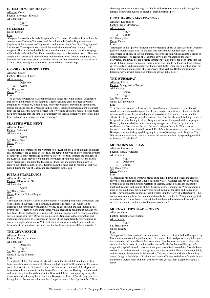# **IRONSOUL'S CONDEMNERS**

Alliance: Order Faction: Stormcast Eternals AI Behaviour: 1. Aggro Control

Set: Dreadfane Quest: Escape Lore:

"Gwynne Ironsoul is a formidable agent of the Sacrosanct Chambers. Ironsoul and her companions – Tavian of Sarnassus and the redoubtable Brodus Blightbane – are Sequitors of the Hammers of Sigmar, first and most storied of the God-King Sigmar's Stormhosts. These specialists channel the magical tempest of Azyr through their weapons. They are trained to battle the ethereal and the daemonic, but after straying within the bounds of the Dreadfane, even they may have found their match. They long sought a way to shatter its mechanisms and free themselves from its cruel grasp, and believed their quest successful when they finally set foot in the blood-soaked caverns of Ghur. Alas, Beastgrave would soon prove to be just another trap...'

# **GRASHRAK'S DESPOILERS**

Alliance: Chaos

Faction: Beasts of Chaos AI Behaviour: 1. Objective

2. Aggro

Set: Beastgrave

Quest: Crusade

Lore:

"The gor-kin of Grashrak's Despoilers hate all things pure with a bestial vehemence that knows neither reason nor restraint. Their overriding drive is to tear down the trappings of civilisation, to ruin beauty and order wherever they find it, leaving only roiling chaos and bloody wreckage in their wakes. Having butchered a gore-slick path from the depths of the Gnawing Forest to the Wrything Hills, this herd of bestial brutes have now plunged into the tunnels of Beastgrave in search of fresh victims to tear limb from limb and new marvels to smash asunder."

#### **SKAETH'S WILD HUNT**

Alliance: Order Faction: Sylvaneth AI Behaviour: 1. Aggro Set: Beastgrave Quest: Crusade Lore:

"Skaeth and his companions are worshippers of Kurnoth, the god of the hunt and fallen ally of Alarielle, the goddess of life. They are beings both wild and fey, spiritual avatars of nature in its most primal and aggressive state. Yet nobility tempers the savagery of the Kurnothi. They prey solely upon those bringers of ruin who desecrate the natural order, mercilessly hounding the footsteps of their foes and cutting them down to remove their taint from the Mortal Realms. Skaeth's band seek to restore all that was ruined during the Age of Chaos, and are merciless in that goal."

# **RIPPA'S SNARLFANGS**

Alliance: Destruction Faction: Gloomspite Gitz AI Behaviour: 1. Aggro Set: Beastgrave Quest: Find the Shiny Choppa Lore:

"Amongst the Gitmobs, it is no crime to launch a leadership challenge by trying to stab your Gitlord in the back. It is, however, inadvisable to mess it up. When Rippa Narkbad's bid for power went horribly wrong, he chose rapid and self-imposed exile over the messy death he would undoubtedly have faced if he had hung about. His two best ladz, Stabbit and Mean-eye, came with him, more out of guilt by association than any real sense of loyalty. Down but not defeated, Rippa has led his grumbling and mutinous companions to Beastgrave in pursuit of the magnificently shiny choppa he sees every night in his dreams. With that blade in his hand, surely Rippa could ride back to his tribe and claim rulership over the headless corpses of all his old rivals..."

# **THE GRYMWATCH**

Alliance: Death Faction: Flesh-eater Courts AI Behaviour: 1. Objective 2. Aggro Set: Beastgrave Quest: Slay the Monster Lore:

"The ghouls of the Flesh-eater Courts suffer from the shared delusion that, far from being monstrous corpse-cannibals, they are in fact noble knights and dedicated men-atarms. So it is with the Grymwatch, who 'ride' out at the command of the degenerate beast whom they perceive to be the heroic Duke Crakmarrow. Hailing from a blasted and ruined kingdom far to the north, the Grymwatch have come questing to slay the monstrous entity that they believe lurks at Beastgrave's heart. After all, they can't risk letting this terrible creature threaten their 'crops' or menace their 'peasant folk'. Now,

slavering, grunting and snarling, the ghouls of the Grymwatch scramble through the tunnels, honourable hunters in search of their monstrous prey."

# **HROTHGORN'S MANTRAPPERS**

Alliance: Destruction

Faction: Ogor Mawtribes AI Behaviour: 1. Aggro 2. Control

Set: Beastgrave

Quest: Escape

Lore:

"Hrothgorn and his party of hangers-on were ranging ahead of their Alfrostun when the Icebrow Hunter caught what he thought was the scent of abundant prey – beasts somewhere up ahead. The group hungrily followed the trail, which led into a series of winding tunnels. The legend of Beastgrave is well known amongst the Ogor Mawtribes, and it was not long before Hrothgorn realised they had been lured into the gullet of that infamous mountain. There was no true food to be found in these echoing caverns, only an endless purgatory of hunger and death. Once the hunter had spent his initial frustration upon scores of Beastgrave's other victims, Hrothgorn set about finding a way out with his ragtag entourage always at his heels."

#### **THE WURMSPAT**

Alliance: Chaos Faction: Maggotkin of Nurgle AI Behaviour:

- 1. Control 2. Aggro
- Set: Beastgrave

Quest: Lift the Curse

#### Lore:

"The Sorcerer Fecula Flyblown was far from Beastgrave, hunched over a stained cauldron, when she read a sign in the cloying vapour rising from it. She saw a shardcurse of endless sterility in which nothing stayed dead long enough to rot, and the effects of entropy were perpetually undone. Horrified, Fecula added foul ingredients to her pestilent brew, hoping to attract Nurgle's aid to halt the spread of this un-plague. Drawn by the rancid odour, a monstrous wyrmaggot burst from the ground and swallowed the Sorcerer and her two favoured bodyguards whole. This creature burrowed onwards until it could stomach Fecula's noisome stew no more; it burst into Beastgrave, where it disgorged the group in a tide of steaming vomit. Together, The Wurmspat are resolved to cure the curse at the mountain's heart by spreading the filth so beloved of their deity."

# **MORGOK'S KRUSHAS**

Alliance: Destruction Faction: Orruk Warclans AI Behaviour: 1. Aggro

- 2. Objective
- 3. Control
- Set: Beastgrave Quest: Crusade

Lore:

"Morgok and his mob of Ironjawz brutes once hunted down and fought the greatest prey they could find amongst Ghur's trackless wastes. Whether they ran down spiny nephrodiles or fought the storm-warriors of Sigmar, Morgok's Krushas sought the mightiest trophies in the name of their bellicose deity, Gorkamorka. While roaming a plain of ancient bones, the Ironjawz boss heard from afar the clash and clangour of battle. They pursued the sounds across the wilds until they arrived at Beastgrave – the noises were echoing from the mountain's tunnels. Invigorated by Waaagh! energy that would only increase with each conflict, the brute boss led his cronies down into the caverns to win glory in the eyes of the great green god."

# **MORGWAETH'S BLADE-COVEN**

Alliance: Order Faction: Daughters of Khaine AI Behaviour: 1. Aggro Set: Beastgrave Quest: Escape Lore:

"Morgwaeth the Bloodied and her murderous retinue were dispatched to Beastgrave by Morathi in search of a long-hidden shard of Khaine. Shadowed paths brought them to the mountain, and immediately they knew their objective was near – what else could account for the visions of slaughter and echoes of battle that haunted Beastgrave's megalithic depths? In truth, however, their quest was a fool's errand, for Morathi knew no shard lay in the mountain – Morgwaeth had questioned her liege a little too publicly, and was sent to Beastgrave for her temerity. This was a poor punishment for the hag queen, though – the blades of Khaine found many offerings to the lord of murder in the mountain's ancient halls, and their dedication may yet see them escape Beastgrave's grasp."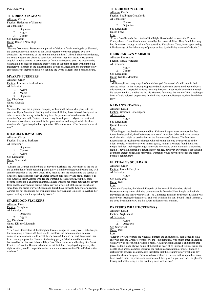#### *# SEASON 4*

# **THE DREAD PAGEANT**

Alliance: Chaos

Faction: Hedonites of Slaanesh AI Behaviour:

- 1. Objective
	- 2. Aggro

3. Control

Set: Direchasm Quest: Reach a New High

Lore:

"Having first entered Beastgrave in pursuit of visions of their missing deity, Slaanesh, the depraved mortals known as the Dread Pageant were soon gripped by a new obsession: the tormenting of the sentient mountain itself. Like all Slaaneshi Hedonites, the Dread Pageant are slaves to sensation, and when they first tasted Beastgrave's anguish at being denied its usual feast of flesh, they began to goad the mountain by withholding its succour, torturing their victims to the point of death while imbibing Beastgrave's despair. In the claustrophobic depths of Direchasm, the mountain's raw emotions are at their most tangible, sending the Dread Pageant into a euphoric state."

# **MYARI'S PURIFIERS**

Alliance: Order

Faction: Lumineth Realm-lords AI Behaviour:

- 1. Aggro
- 2. Magic
- 3. Objective

Set: Direchasm Quest: Crusade

# Lore:

"Myari's Purifiers are a graceful company of Lumineth aelves who glow with the power of Hysh. Steeped in learning and arcane skill, they have entered Beastgrave to calm its wrath, believing that only they have the presence of mind to resist the mountain's primal call. Their confidence may be well placed. Myari is a master of elemental invocations, renowned for his great wisdom and insight, while the three warriors who fight alongside him epitomise different aspects of the Lumineth way of war."

# **KHAGRA'S RAVAGERS**

Alliance: Chaos Faction: Slaves to Darkness AI Behaviour:

- 1. Objective
- 2. Control
- 3. Aggro
- Set: Direchasm

Quest: Sororicide

#### Lore:

"Khagra the Usurper and her band of Slaves to Darkness see Direchasm as the site of the culmination of their personal path to glory; a final proving ground where they will earn the attention of the Dark Gods. They mean to turn the mountain to the service of Chaos by desecrating its every chamber through dark sorcery and brutal sacrifice. It was Khagra's sister Zarshia who led the warband into Beastgrave, but they soon became trapped in a gnashing chamber. Khagra wedged her shield between the cavern floor and the encroaching ceiling before carving a way out of the rocky gullet, and since then, the brutal warriors Cragan and Razek have turned to Khagra for direction. Zarshia has not abandoned her own ambitions, however, and is poised to overturn her upstart sibling when the opportunity arises.'

# **STARBLOOD STALKERS**

Alliance: Order Faction: Seraphon AI Behaviour: 1. Objective 2. Aggro Set: Direchasm Quest: Kill the Mountain

Lore: "The Slann Starmasters of the Seraphon foresaw danger in Beastgrave. Unchallenged, the corrupting presence of Chaos would transform the mountain into a colossal demigod whose power would wreak havoc across Ghur and beyond. To prevent this from coming to pass, the Slann sent a hunting party of skinks into the mountain, bolstered by the Saurus Oldblood Klaq-Trok. Their leader would be the gifted Skink Priest Kixi-Taka the Diviner, who bore an artefact that, if deployed in precisely the right location, would compel the entire mountain to consume itself in self-destructive madness."

# **THE CRIMSON COURT**

Alliance: Death Faction: Soulblight Gravelords AI Behaviour: 1. Control 2. Objective Set: Direchasm Quest: Feed

Lore:

"Prince Duvalle leads the coterie of Soulblight Gravelords known as the Crimson Court, a band of merciless hunters united by their cruel abilities. They found their way into Direchasm through a splint of the spreading Katophrane Curse, intent upon taking full advantage of the rich variety of prey promised by the living mountain's depths."

#### **HEDKRAKKA'S MADMOB**

Alliance: Destruction Faction: Orruk Warclans AI Behaviour:<br>1. Ag Aggro 2. Control Set: Direchasm Quest: Kill the Mountain Lore:

"All Bonesplitterz carry a spark of the violent god Gorkamorka's wild rage in their cracked minds. In the Wurrgog Prophet Hedkrakka, the self-proclaimed 'Gob of Gork', this connection is especially strong. Hearing the Great Green God's command through his serpent familiar, Hedkrakka led his Madmob far across the realm of Ghur, seeking a beast of truly colossal proportions. In the living mountain, Beastgrave, they found their prey."

# **KAINAN'S REAPERS**

Alliance: Death Faction: Ossiarch Bonereapers AI Behaviour: 1. Aggro Set: Direchasm Quest: Crusade Lore:

"When Nagash resolved to conquer Ghur, Kainan's Reapers were amongst the first forces he despatched, the tithekeepers sent to call in ancient debts and claim osseous stockpiles that might be used to bolster the Bonereapers' advance. The Mortisan Executioner Mir Kainan was charged with collecting the long-overdue tithe of the Silent People. When they arrived in Beastgrave, Kainan's Reapers found the Silent People had fled, their regular migration cycle interrupted by the mountain's anguished raging. They did not intend to return empty-handed, however. Direchasm's depths held countless ancient bones, and many rival warbands would pay the price for the Silent People's delinquency."

# **ELATHAIN'S SOULRAID**

Alliance: Order Faction: Idoneth Deepkin AI Behaviour: 1. Aggro Set: Direchasm Quest: Kill Lore:

"Over the Centuries, the Idoneth Deepkin of the Ionrach Enclave had visited Beastgrave many times, claiming countless souls from the Silent People with which they might ensure their own survival. The Celebrated Isharann Soulrender Elathain was tasked with leading the latest foray, and took with him his soul-bound Thrall Tammael, the bond-beast Duinclaw, and his sworn Ishlaen escort, Fuirann."

# **DREPUR'S WRAITHCREEPERS**

Alliance: Death Faction: Nighthaunt AI Behaviour: 1. Aggro 2. Objective Set: Starter Set Quest: Kill

Lore: "Drepur's Wraithcreepers are Nagash's hunters and executioners, despatched to slave any who earn the Great Necromancer's ire – including any who might enter Shadespire with a view to obsctructing Nagash's plans. A Glaivewraith Stalker is an unstoppable force. Its long blade always points at the beating heart of its intended victim, just as the needle of an arcane compass indicates the highest concentration of magic. Though it drifts slowly towards its quarry, it is inevitable that the creature's glaive will one day pierce the chest of its prey. Those who have realised a Glaivewraith is upon their scent have evaded them for years, even decades until their guard slips – and then the gheist's leering and bestial visage is the last thing such victims see."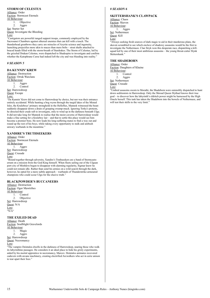# **STORM OF CELESTUS**

Alliance: Order Faction: Stormcast Eternals AI Behaviour: 1. Objective  $2 \n\begin{array}{c} 2 \end{array}$ Aggro

Set: Starter Set Quest: Investigate the Bleeding Lore:

"Castigators are powerful ranged support troops, commonly employed by the Sacrosanct Chambers against ethereal enemies that can kill with a touch. The thunderhead greatbows they carry are miracles of Azyrite science and ingenuity, launching projectiles more akin to maces than mere bolts – stout shafts attached to braced heads filled with the storm-breath of Stardrakes. The Storm of Celestus, led by the grizzled Drakan Celestus, were dispatched to Shadespire to investigate and confirm whether the Katophrane Curse had indeed left the city and was bleeding into reality."

# *# SEASON 5*

# **DA KUNNIN' KREW**

Alliance: Destruction Faction: Orruk Warclans AI Behaviour: 1. Aggro<br>2. Contro Control Set: Harrowdreep

Quest: Escape Lore:

"Da Kunnin' Krew did not come to Harrowdeep by choice, but nor was their entrance entirely accidental. While hunting a bog wyrm through the turgid lakes of the Misted Isles, the Kruleboyz' primary stronghold in the Helleflux, Mannok witnessed the beast suddenly disappear down a drain of grasping swamp-muck. Ignoring Torka's protests, he directed their crude raft to investigate, only to wind up in the darkness beneath Ulgu. It did not take long for Mannok to realise that the moist caverns of Harrowdeep would make a fine setting for a Kruleboy lair – and that to settle this place would see him become a premier boss. He now leads his long-suffering mates to find a way out and round up the rest of his boyz, while taking every opportunity to stalk and ambush unwary warbands in the meantime."

# **XANDIRE'S TRUTHSEEKERS**

Alliance: Order Faction: Stormcast Eternals AI Behaviour: 1. Aggro Set: Harrowdreep Quest: Crusade Lore:

"Bound together through adversity, Xandire's Truthseekers are a band of Stormcastserrant on a mission from the God-King himself. When fleets sailing out of the Ulguan port-city of Misthåvn began to disappear with alarming regularity, Sigmar knew he could not remain idle. Rather than send his armies on a wild search through the dark, however, he opted for a more subtle approach – warbands of Thunderstrike-armoured champions who could scour Ulgu for the elusive truth."

# **BLACKPOWDER'S BUCCANEERS**

Alliance: Destruction Faction: Ogor Mawtribes AI Behaviour: 1. Control 2. Objective Set: Harrowdreep Quest: N/A Lore:  $\overline{\omega_{N/A}}$ 

# **THE EXILED DEAD**

Alliance: Death Faction: Soulblight Gravelords AI Behaviour: 1. Magic<br> $\frac{1}{2}$  Agoro Aggro Set: Harrowdreep Quest: Necromancy Lore:

"The vampire Deintalos dwells in the darkness of Harrowdeep, snaring those who walk its labyrinthine passages. He considers it an ideal place to hide his grisly experiments, aided by his mortal apprentice in necromancy, Marcov. Deintalos animates recovered cadavers with arcane machinery, creating electrified Arcwalkers who act in eerie unison to tear apart their foes."

# *# SEASON 6*

# **SKITTERSHANK'S CLAWPACK**

Alliance: Chaos Faction: Skaven AI Behaviour: 1. Aggro Set: Nethermaze Quest: Kill Lore:

"Always seeking fresh sources of dark magic to aid in their murderous plans, the skaven scrambled to see which enclave of shadowy assassins would be the first to investigate the Nethermaze. Clan Stryk won this desperate race, dispatching a killsquad led by one of their most ambitious assassins – the young throat-cutter Slynk Skittershank."

#### **THE SHADEBORN**

Alliance: Order Faction: Daughters of Khaine AI Behaviour: 1. Control 2. Aggro Set: Nethermaze Quest: Crusade Lore:

"Umbral assassins sworn to Morathi, the Shadeborn were ostensibly dispatched to hunt down seditionists in Harrowdeep. Only the Shroud Queen Slythael knows their true goal – to discover how the labyrinth's eldritch power might be harnessed by the High Oracle herself. This task has taken the Shadeborn into the bowels of Nethermaze, and will test their skills to the very limit."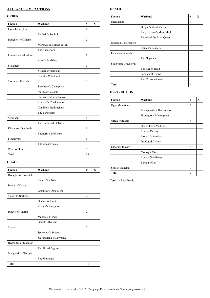# **ALLIANCES & FACTIONS**

# **ORDER**

| <b>Faction</b>            | Warband                   | #              | X |
|---------------------------|---------------------------|----------------|---|
| Idoneth Deepkin           |                           | 1              |   |
|                           | Elathain's Soulraid       |                |   |
| Daughters of Khaine       |                           | $\overline{2}$ |   |
|                           | Morgwaeth's Blade-coven   |                |   |
|                           | The Shadeborn             |                |   |
| Lumineth Realm-lords      |                           | 1              |   |
|                           | Myari's Purifiers         |                |   |
| Sylvaneth                 |                           | $\overline{c}$ |   |
|                           | Ylthari's Guardians       |                |   |
|                           | Skaeth's Wild Hunt        |                |   |
| <b>Stormcast Eternals</b> |                           | 6              |   |
|                           | Steelheart's Champions    |                |   |
|                           | Storm of Celestus         |                |   |
|                           | Stormsire's Cursebreakers |                |   |
|                           | Ironsoul's Condemnors     |                |   |
|                           | Xandire's Truthseekers    |                |   |
|                           | The Farstriders           |                |   |
| Seraphon                  |                           | $\mathbf{1}$   |   |
|                           | The Starblood Stalkers    |                |   |
| Kharadron Overlords       |                           | 1              |   |
|                           | Thundrik's Profiteers     |                |   |
| Fyreslayers               |                           | 1              |   |
|                           | The Chosen Axes           |                |   |
| Cities of Sigmar          |                           | $\theta$       |   |
| <b>Total</b>              |                           | 15             |   |

# **CHAOS**

| <b>Faction</b>            | Warband                 | #              | X |
|---------------------------|-------------------------|----------------|---|
| Disciples of Tzeentch     |                         | 1              |   |
|                           | Eyes of the Nine        |                |   |
| <b>Beasts of Chaos</b>    |                         | $\mathbf{1}$   |   |
|                           | Grashrak's Despoilers   |                |   |
| <b>Slaves to Darkness</b> |                         | $\overline{2}$ |   |
|                           | <b>Godsworn Hunt</b>    |                |   |
|                           | Khagra's Ravagers       |                |   |
| <b>Blades of Khorne</b>   |                         | $\overline{2}$ |   |
|                           | Magore's Fiends         |                |   |
|                           | Garrek's Reavers        |                |   |
| Skaven                    |                         | $\overline{2}$ |   |
|                           | Spiteclaw's Swarm       |                |   |
|                           | Skittershank's Clawpack |                |   |
| Hedonites of Slaanesh     |                         | 1              |   |
|                           | The Dread Pageant       |                |   |
| Maggotkin of Nurgle       |                         | $\mathbf{1}$   |   |
|                           | The Wurmspat            |                |   |
| <b>Total</b>              |                         | 10             |   |

# **DEATH**

| <b>Faction</b>              | Warband                   | # | X |
|-----------------------------|---------------------------|---|---|
| Nighthaunt                  |                           | 3 |   |
|                             | Drepur's Wraithcreepers   |   |   |
|                             | Lady Harrow's Mournflight |   |   |
|                             | Thorns of the Briar Queen |   |   |
| <b>Ossiarch Bonereapers</b> |                           | 1 |   |
|                             | Kainan's Reapers          |   |   |
| Flesh-eater Courts          |                           | 1 |   |
|                             | The Grymwatch             |   |   |
| Soulblight Gravelords       |                           | 3 |   |
|                             | The Exiled Dead           |   |   |
|                             | Sepulchral Guard          |   |   |
|                             | The Crimson Court         |   |   |
| Total                       |                           | 8 |   |

# **DESTRUCTION**

| <b>Faction</b>  | Warband                         | #              | X |
|-----------------|---------------------------------|----------------|---|
| Ogor Mawtribes  |                                 | $\overline{2}$ |   |
|                 | <b>Blackpowder's Buccaneers</b> |                |   |
|                 | Hrothgorn's Mantrappers         |                |   |
| Orruk Warclans  |                                 | $\overline{4}$ |   |
|                 | Hedkrakka's Madmob              |                |   |
|                 | Ironskull's Boyz                |                |   |
|                 | Morgok's Krushas                |                |   |
|                 | Da Kunnin' Krew                 |                |   |
| Gloomspite Gitz |                                 | 3              |   |
|                 | Mollog's Mob                    |                |   |
|                 | Rippa's Snarlfangs              |                |   |
|                 | Zarbag's Gitz                   |                |   |
| Sons of Behemat |                                 | $\theta$       |   |
| Total           |                                 | 9              |   |

**Total** = 42 Warbands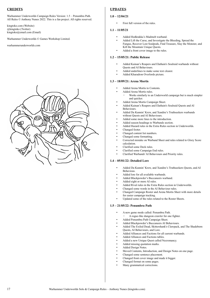# **CREDITS**

Warhammer Underworlds Campaign Rules Version: 1.5 – Penumbra Path. All Rules © Anthony Nunes 2022. This is a fan project. All rights reserved.

kingtoko.com (Website) @kingtoko (Twitter) kingtoko@email.com (Email)

Warhammer Underworlds © Games Workshop Limited.

warhammerunderworlds.com



# **UPDATES**

# **1.0 – 12/04/21**

First full version of the rules.

# **1.1 – 11/05/21**

- Added Hedkrakka's Madmob warband.
- Added Lift the Curse, and Investigate the Bleeding, Spread the Fungus, Recover Lost Soulpods, Find Treasure, Slay the Monster, and Kill the Mountain Unique Quests.
- Added a front cover image to the rules.

# **1.2 – 15/05/21: Public Release**

- Added Kainan's Reapers and Elathain's Soulraid warbands without Quests and AI Behaviours.
- Added underlines to make some text clearer.
- Added Kharadron Overlords picture.

# **1.3 – 18/09/21: Arena Mortis**

- Added Arena Mortis to Contents.
- Added Arena Mortis rules.
	- Works similarly to an Underworld campaign but is much simpler and quicker.
- Added Arena Mortis Campaign Sheet.
- Added Kainan's Reapers and Elathain's Soulraid Quests and AI Behaviours.
- Added Da Kunnin' Krew, and Xandire's Truthseekers warbands without Quests and AI Behaviours.
- Added some more lines to the introduction.
- Added season headings to Warbands section.
- Added Hazard rules in the Extra Rules section in Underworlds.
- Changed footer.
- Changed content list numbers.
- Changed some formatting.
- Corrected mistake on Warband Sheet and rules related to Glory Score calculation.
- Clarified some Deck rules.
- Clarified some Campaign End rules.
- Clarified Warbands' AI Behaviours and Priority rules.

# **1.4 – 05/01/22: Detailed Lore**

- Added Da Kunnin' Krew, and Xandire's Truthseekers Quests, and AI Behavious.
- Added lore for all available warbands.
- Added Blackpowder's Buccaneers warband.
- Added eight or more AI rules.
- Added Rival rules in the Extra Rules section in Underworlds.
- Changed some words in the AI Behaviour rules.
- Changed Campaign Roster and Arena Mortis Sheet with more details for easier campaign tracking.
- Updated some of the rules related to the Roster Sheets.

# **1.5 – 21/05/22: Penumbra Path**

- A new game mode called: Penumbra Path.
- A rogue-like dungeon crawler for one fighter.
- Added Penumbra Path Campaign Sheet.
- Added Blackpowder's Buccaneers AI Behaviours.
- Added The Exiled Dead, Skittershank's Clawpack, and The Shadeborn Quests, AI Behaviours, and Lore.
- Added Alliances and Factions for all current warbands.
- Added Alliances and Factions tables.
- Added a new Unique Quest called Necromancy.
- Added missing quotation marks.
- Added Design Notes.
- Moved Contents, Introduction, and Design Notes on one page.
- Changed some sentence placement.
- Changed front cover image and made it bigger.
- Changed format on some pages.
- Many grammatical corrections.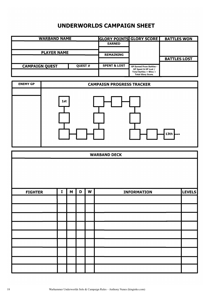# **UNDERWORLDS CAMPAIGN SHEET**

| <b>WARBAND NAME</b>   | <b>GLORY POINTS GLORY SCORE</b> |                         | <b>BATTLES WON</b>                                                              |                     |
|-----------------------|---------------------------------|-------------------------|---------------------------------------------------------------------------------|---------------------|
|                       |                                 | <b>EARNED</b>           |                                                                                 |                     |
| <b>PLAYER NAME</b>    | <b>REMAINING</b>                |                         |                                                                                 |                     |
|                       |                                 |                         |                                                                                 | <b>BATTLES LOST</b> |
| <b>CAMPAIGN QUEST</b> | <b>OUEST#</b>                   | <b>SPENT &amp; LOST</b> | <b>GP Earned From Battles -</b>                                                 |                     |
|                       |                                 |                         | GP Spent & GP Lost /<br>Total Battles $+$ Wins $=$<br><b>Total Glory Score.</b> |                     |



| <b>WARBAND DECK</b> |   |   |   |   |                    |               |
|---------------------|---|---|---|---|--------------------|---------------|
|                     |   |   |   |   |                    |               |
| <b>FIGHTER</b>      | I | M | D | W | <b>INFORMATION</b> | <b>LEVELS</b> |
|                     |   |   |   |   |                    |               |
|                     |   |   |   |   |                    |               |
|                     |   |   |   |   |                    |               |
|                     |   |   |   |   |                    |               |
|                     |   |   |   |   |                    |               |
|                     |   |   |   |   |                    |               |
|                     |   |   |   |   |                    |               |
|                     |   |   |   |   |                    |               |
|                     |   |   |   |   |                    |               |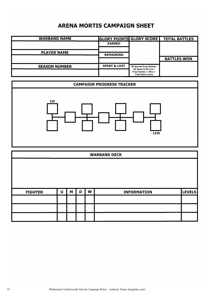# **ARENA MORTIS CAMPAIGN SHEET**

| <b>WARBAND NAME</b>  |                         |                                                                                 | <b>GLORY POINTS GLORY SCORE   TOTAL BATTLES</b> |
|----------------------|-------------------------|---------------------------------------------------------------------------------|-------------------------------------------------|
|                      | <b>EARNED</b>           |                                                                                 |                                                 |
| <b>PLAYER NAME</b>   | <b>REMAINING</b>        |                                                                                 |                                                 |
|                      |                         |                                                                                 | <b>BATTLES WON</b>                              |
| <b>SEASON NUMBER</b> | <b>SPENT &amp; LOST</b> | <b>GP Earned From Battles -</b>                                                 |                                                 |
|                      |                         | GP Spent & GP Lost /<br>Total Battles $+$ Wins $=$<br><b>Total Glory Score.</b> |                                                 |



| <b>WARBAND DECK</b> |   |   |   |   |                    |        |
|---------------------|---|---|---|---|--------------------|--------|
|                     |   |   |   |   |                    |        |
|                     |   |   |   |   |                    |        |
|                     |   |   |   |   |                    |        |
|                     |   |   |   |   |                    |        |
| <b>FIGHTER</b>      | U | M | D | W | <b>INFORMATION</b> | LEVELS |
|                     |   |   |   |   |                    |        |
|                     |   |   |   |   |                    |        |
|                     |   |   |   |   |                    |        |
|                     |   |   |   |   |                    |        |